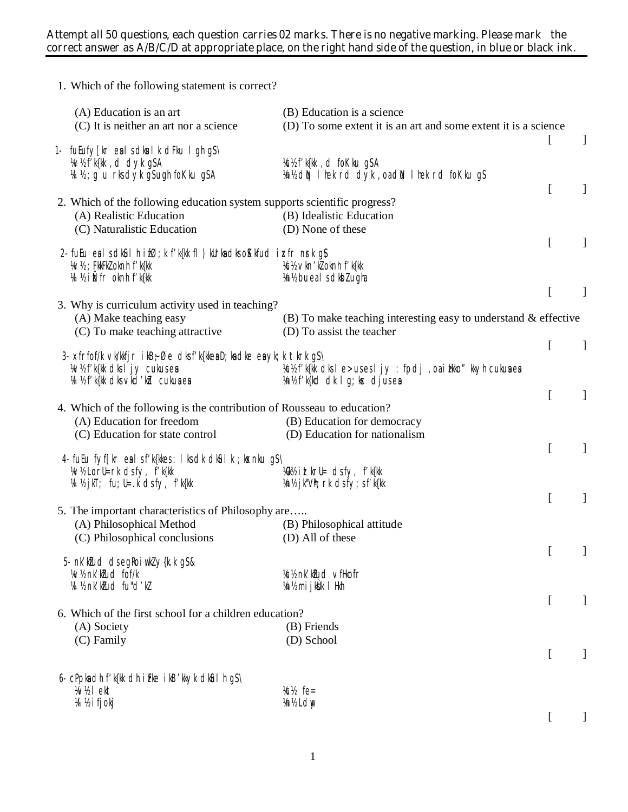## **Attempt all 50 questions, each question carries 02 marks. There is no negative marking. Please mark the correct answer as A/B/C/D at appropriate place, on the right hand side of the question, in blue or black ink.**

| 1. Which of the following statement is correct?                                                                                                        |                                                                                                 |                  |              |
|--------------------------------------------------------------------------------------------------------------------------------------------------------|-------------------------------------------------------------------------------------------------|------------------|--------------|
| (A) Education is an art<br>(C) It is neither an art nor a science                                                                                      | (B) Education is a science<br>(D) To some extent it is an art and some extent it is a science   |                  |              |
| 1- fuEufy [kr ealsdkulk dFku lgh gS\<br>W/2f'k{kk, d dyk g\$A                                                                                          | Vc½ f'k{kk, d foKku g\$A                                                                        | t                | $\mathbf{I}$ |
| M ½ ; g u rksdyk gSugh foKku gSA<br>2. Which of the following education system supports scientific progress?                                           | Vn½ dN I hek rd dyk, oadN I hek rd foKku gS                                                     | $\overline{[}$   | $\mathbf{I}$ |
| (A) Realistic Education<br>(C) Naturalistic Education                                                                                                  | (B) Idealistic Education<br>(D) None of these                                                   |                  |              |
| 2. fuEu ealsdkûlhif $\emptyset$ ; k f'k{kk fl) kUrkadkso $K$ kfud i $\kappa$ fr n $\kappa$ k g $\chi$<br>34/½ ; FkkFkZ oknh f'k{kk                     | Vc1/2 vkn'kl oknh f'k{kk                                                                        | $\Gamma$         | $\mathbf{I}$ |
| 14 ½ iÑfr oknh f'k{kk                                                                                                                                  | Vn1/2 bueals dkblugha                                                                           | [                | $\mathbf{I}$ |
| 3. Why is curriculum activity used in teaching?<br>(A) Make teaching easy<br>(C) To make teaching attractive                                           | (B) To make teaching interesting easy to understand $\&$ effective<br>(D) To assist the teacher |                  |              |
|                                                                                                                                                        |                                                                                                 | $\overline{[}$   | $\mathbf{I}$ |
| 3- xfrfof/k vk/kkfjr ik $B$ ; Øe dksf'k{kkeaD; kadke eayk; k tkrk g $S \setminus$<br>W/2 f'k{kk dks I jy cukus ea<br>V4 1/2 f'k{kk dks vkd'kZd cukuaea | Vc½ f'k{Mk dksle>usesljy: fpdj, oai hkko" kkyh cukuaea<br>Vn½ f'k{kd dk lg; kx djusea           |                  |              |
| 4. Which of the following is the contribution of Rousseau to education?                                                                                |                                                                                                 | $\overline{[}$   | $\mathbf{I}$ |
| (A) Education for freedom<br>(C) Education for state control                                                                                           | (B) Education for democracy<br>(D) Education for nationalism                                    | [                | $\mathbf{I}$ |
| 4- fuEu fyf[kr eal sf'k{kkes: I ksclk clk&il k ; kxnku g\$\                                                                                            |                                                                                                 |                  |              |
| W/2 LorU=rk dsfy, f'k{kk<br>VA V2 jkT; fu; U= .k dsfy, f'k{kk                                                                                          | Wikk it tkrU= dsfy, f'k{kk<br>Vn1/2 jk"Vh; rk dsfy; sf'k{kk                                     |                  |              |
| 5. The important characteristics of Philosophy are                                                                                                     |                                                                                                 | $\mathbf{r}$     | $\mathbf{I}$ |
| (A) Philosophical Method<br>(C) Philosophical conclusions                                                                                              | (B) Philosophical attitude<br>(D) All of these                                                  |                  |              |
|                                                                                                                                                        |                                                                                                 | $\Gamma$         |              |
| 5- nk'ktud dsegkoiwkly{k.kgS&<br>W/2 nk' ktud fof/k<br>W ½ nk' klud fu"d'kl                                                                            | Kc <sup>y</sup> nk' ktud vfHkofr<br>½n½ mijkÜk IHkh                                             |                  |              |
| 6. Which of the first school for a children education?                                                                                                 |                                                                                                 | <sub>[</sub>     |              |
| (A) Society                                                                                                                                            | (B) Friends                                                                                     |                  |              |
| (C) Family                                                                                                                                             | (D) School                                                                                      | [                |              |
| 6- cPpkadh f'k{kk dh i Fke i kB'kkyk dkûl h gS\                                                                                                        |                                                                                                 |                  |              |
| W <sub>1</sub> lekt<br>M ½ i fjokj                                                                                                                     | k/ <sub>2</sub> fe=<br><i><b>Vn<sub>12</sub></b></i> Ldw                                        |                  |              |
|                                                                                                                                                        |                                                                                                 | $\left[ \right]$ |              |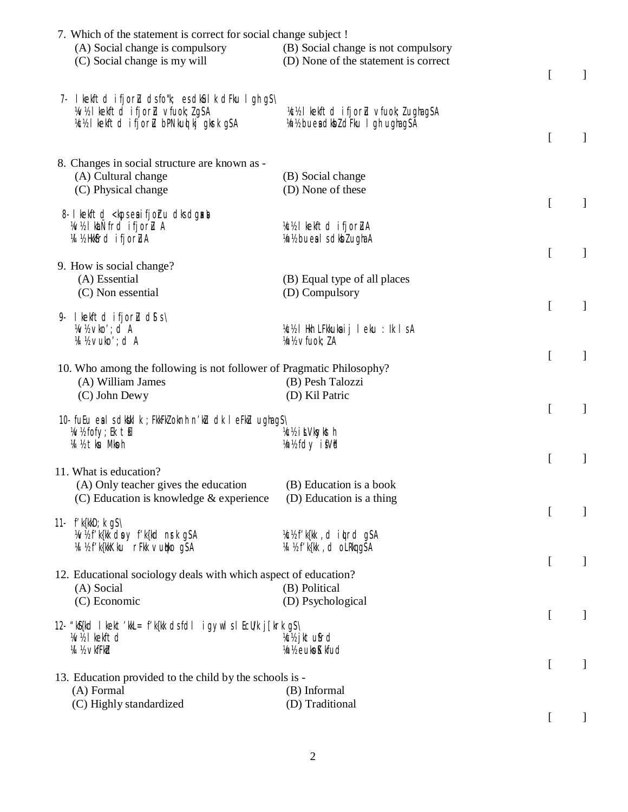| 7. Which of the statement is correct for social change subject !     |                                      |                  |              |
|----------------------------------------------------------------------|--------------------------------------|------------------|--------------|
| (A) Social change is compulsory                                      | (B) Social change is not compulsory  |                  |              |
| (C) Social change is my will                                         | (D) None of the statement is correct |                  |              |
|                                                                      |                                      | [                | $\mathbf{I}$ |
|                                                                      |                                      |                  |              |
| 7- I kekftd ifjorlu dsfo"k; es dkûlk dFku I gh gS\                   |                                      |                  |              |
| W/2 I kelftd ifjorl vfuol; IgSA                                      | VC½ I kekftd ifjorlu vfuok; lughagSA |                  |              |
| VC½ I kekftd ifjorlu bPNkuql kj gkrk gSA                             | Vn½ buea dkbl dFku I gh ughagSA      |                  |              |
|                                                                      |                                      | $\Gamma$         | $\mathbf{I}$ |
|                                                                      |                                      |                  |              |
| 8. Changes in social structure are known as -                        |                                      |                  |              |
| (A) Cultural change                                                  | (B) Social change                    |                  |              |
|                                                                      |                                      |                  |              |
| (C) Physical change                                                  | (D) None of these                    |                  |              |
|                                                                      |                                      | $\Gamma$         | $\mathbf{I}$ |
| 8- I kelftd < kps eaifjohu dks dgaxal                                |                                      |                  |              |
| W/2 khand ifjorl A                                                   | Kc½ I kekftd ifjorluA                |                  |              |
| 14 %Hkbfrd ifjorLuA                                                  | Vn1/2 buealsdkblughaA                |                  |              |
|                                                                      |                                      | $\Gamma$         | $\mathbf{I}$ |
| 9. How is social change?                                             |                                      |                  |              |
| (A) Essential                                                        | (B) Equal type of all places         |                  |              |
| (C) Non essential                                                    | (D) Compulsory                       |                  |              |
|                                                                      |                                      | $\overline{a}$   | $\mathbf{I}$ |
| 9. I kekftd ifjor $u$ ds s \                                         |                                      |                  |              |
| W <sub>1</sub> % vko'; d A                                           | VC½ IHkh LFkkuka ij Ieku : Ik IsA    |                  |              |
| M ½ vuko'; d A                                                       | Vn1/2 vfuok; lA                      |                  |              |
|                                                                      |                                      | $\overline{[}$   | $\mathbf{I}$ |
| 10. Who among the following is not follower of Pragmatic Philosophy? |                                      |                  |              |
| (A) William James                                                    | (B) Pesh Talozzi                     |                  |              |
| (C) John Dewy                                                        | (D) Kil Patric                       |                  |              |
|                                                                      |                                      | $\Gamma$         | $\mathbf{I}$ |
| 10- fuEu ealsdkaklk; FkkFkZoknh n'kū dk leFkū ughagS\                |                                      |                  |              |
| Whiter, Ek till                                                      | Vc1/2 i ŁVksykst h                   |                  |              |
| 14 12 tku Mkoh                                                       | mhs fdy if Vd                        |                  |              |
|                                                                      |                                      | $\Gamma$         | $\mathbf{I}$ |
| 11. What is education?                                               |                                      |                  |              |
|                                                                      |                                      |                  |              |
| (A) Only teacher gives the education                                 | (B) Education is a book              |                  |              |
| $(C)$ Education is knowledge $\&$ experience                         | (D) Education is a thing             |                  |              |
|                                                                      |                                      | $\left[ \right]$ | $\mathbf{l}$ |
| 11- $f'$ k{kkD; k $qS \setminus$                                     |                                      |                  |              |
| What'k{kk doy f'k{kd nrk g\$A                                        | Vc½f'k{kk, dittrdgSA                 |                  |              |
| Vall's f'k{kkKku rFkk vuktkogSA                                      | V4 ½ f'k{kk, d oLRkqg\$A             |                  |              |
|                                                                      |                                      | $\Gamma$         | $\mathbf{I}$ |
| 12. Educational sociology deals with which aspect of education?      |                                      |                  |              |
| (A) Social                                                           | (B) Political                        |                  |              |
| (C) Economic                                                         | (D) Psychological                    |                  |              |
|                                                                      |                                      | $\left[ \right]$ | $\mathbf{l}$ |
| 12. "k&{kd I kekt'kkL= f'k{kk dsfdl igywlsI EcU/k j[krk g\$\         |                                      |                  |              |
| W <sub>1</sub> lkekftd                                               | k: jktufrd                           |                  |              |
| <b>14 1/2 vkfFkbl</b>                                                | Vn <sub>12</sub> eukoKkfud           |                  |              |
|                                                                      |                                      | $\left[ \right]$ | $\mathbf{I}$ |
| 13. Education provided to the child by the schools is -              |                                      |                  |              |
| (A) Formal                                                           | (B) Informal                         |                  |              |
|                                                                      |                                      |                  |              |
| (C) Highly standardized                                              | (D) Traditional                      |                  |              |
|                                                                      |                                      |                  |              |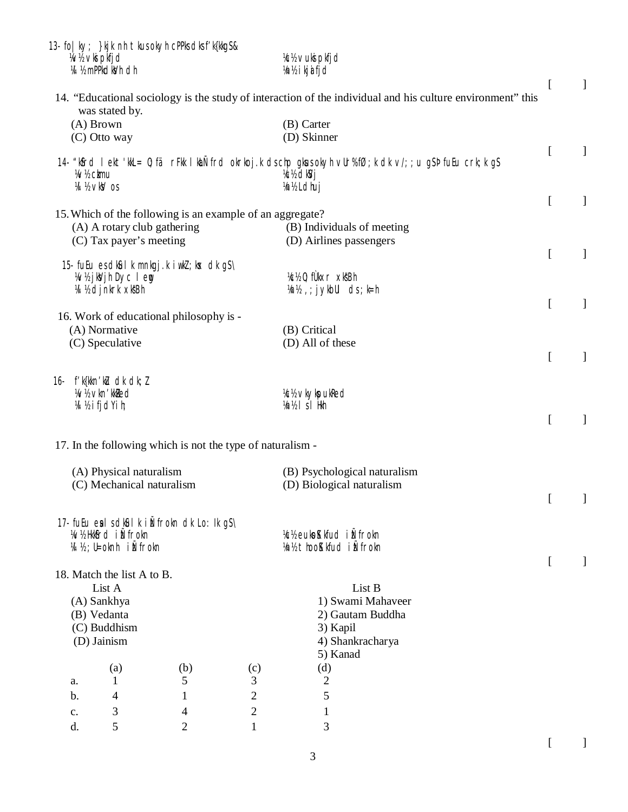|                | 13- fo   ky; } kjk nh tkus okyh cPPks dks f' k{kkg\$ &<br>Wh vki pkfjd<br>14 1/2 mPPkdkVh dh |     |                | <b>Ich vuki pkfjd</b><br>¼n½ i kj <b>a</b> i fjd                                                                                            |                  |              |
|----------------|----------------------------------------------------------------------------------------------|-----|----------------|---------------------------------------------------------------------------------------------------------------------------------------------|------------------|--------------|
|                | was stated by.<br>$(A)$ Brown                                                                |     |                | 14. "Educational sociology is the study of interaction of the individual and his culture environment" this<br>(B) Carter                    | $\Gamma$         | $\mathbf{I}$ |
|                | (C) Otto way                                                                                 |     |                | (D) Skinner                                                                                                                                 |                  |              |
|                | <b>W/2 ckmu</b><br>W <sub>2</sub> VkV os                                                     |     |                | 14. "Kosrd I ekt Kul = 0; fär FK I ku Ñfrd okrkoj k dschp gkusokyh vUr%fØ; k dk v/; ; u gSP fu Eurk; k gS<br>k://dkVj<br><b>Vn1/2 Ldhuj</b> | $\overline{a}$   | $\mathbf{1}$ |
|                |                                                                                              |     |                |                                                                                                                                             | $\Gamma$         | 1            |
|                | 15. Which of the following is an example of an aggregate?<br>(A) A rotary club gathering     |     |                | (B) Individuals of meeting                                                                                                                  |                  |              |
|                | (C) Tax payer's meeting                                                                      |     |                | (D) Airlines passengers                                                                                                                     | $\Gamma$         | $\mathbf{I}$ |
|                | 15 fuEu es dkul k mnkgj.k i wkl; kx dk gS\<br>Whish Dyclem<br>24 ½ djnkrk xkBh               |     |                | Kc½0; fÙkxr xksBh<br>$\forall n$ ; j ykbUl cls ; k=h                                                                                        |                  |              |
|                |                                                                                              |     |                |                                                                                                                                             | $\left[ \right]$ | $\mathbf{I}$ |
|                | 16. Work of educational philosophy is -<br>(A) Normative                                     |     |                | (B) Critical                                                                                                                                |                  |              |
|                | (C) Speculative                                                                              |     |                | (D) All of these                                                                                                                            |                  |              |
|                |                                                                                              |     |                |                                                                                                                                             | $\Gamma$         | 1            |
|                | 16- $f'$ k{kkn'ku dk dk; l                                                                   |     |                |                                                                                                                                             |                  |              |
|                | <b>W/2 vkn'kkled</b><br>W ½ ifjdYih;                                                         |     |                | <b>Ich vkykpukled</b><br>Vn½ I s I Hkh                                                                                                      |                  |              |
|                |                                                                                              |     |                |                                                                                                                                             | $\Gamma$         | 1            |
|                | 17. In the following which is not the type of naturalism -                                   |     |                |                                                                                                                                             |                  |              |
|                | (A) Physical naturalism                                                                      |     |                | (B) Psychological naturalism                                                                                                                |                  |              |
|                | (C) Mechanical naturalism                                                                    |     |                | (D) Biological naturalism                                                                                                                   |                  |              |
|                |                                                                                              |     |                |                                                                                                                                             |                  |              |
|                | 17- fuEu ealsdkûlk iÑfrokn dk Lo: Ik gS\<br>W/2HKKfrd i Ñfrokn<br>14 ½ ; U=oknh iÑfrokn      |     |                | Kcl/2 eukoKkfud i Ñfrokn<br>Vn1/2 thooKkfud i Nirokn                                                                                        |                  |              |
|                |                                                                                              |     |                |                                                                                                                                             | $\left[ \right]$ |              |
|                | 18. Match the list A to B.                                                                   |     |                |                                                                                                                                             |                  |              |
|                | List A<br>(A) Sankhya                                                                        |     |                | List B<br>1) Swami Mahaveer                                                                                                                 |                  |              |
|                | (B) Vedanta                                                                                  |     |                | 2) Gautam Buddha                                                                                                                            |                  |              |
|                | (C) Buddhism                                                                                 |     |                | 3) Kapil                                                                                                                                    |                  |              |
|                | (D) Jainism                                                                                  |     |                | 4) Shankracharya<br>5) Kanad                                                                                                                |                  |              |
|                | (a)                                                                                          | (b) | (c)            | (d)                                                                                                                                         |                  |              |
| a.             | 1                                                                                            | 5   | 3              | $\mathbf{2}$                                                                                                                                |                  |              |
| $\mathbf{b}$ . | 4                                                                                            | 1   | $\overline{c}$ | 5                                                                                                                                           |                  |              |
| $C_{\bullet}$  | 3                                                                                            | 4   | $\mathbf{2}$   | $\mathbf{1}$                                                                                                                                |                  |              |
| d.             | 5                                                                                            | 2   | $\mathbf{1}$   | 3                                                                                                                                           |                  |              |

 $[ \qquad \qquad ]$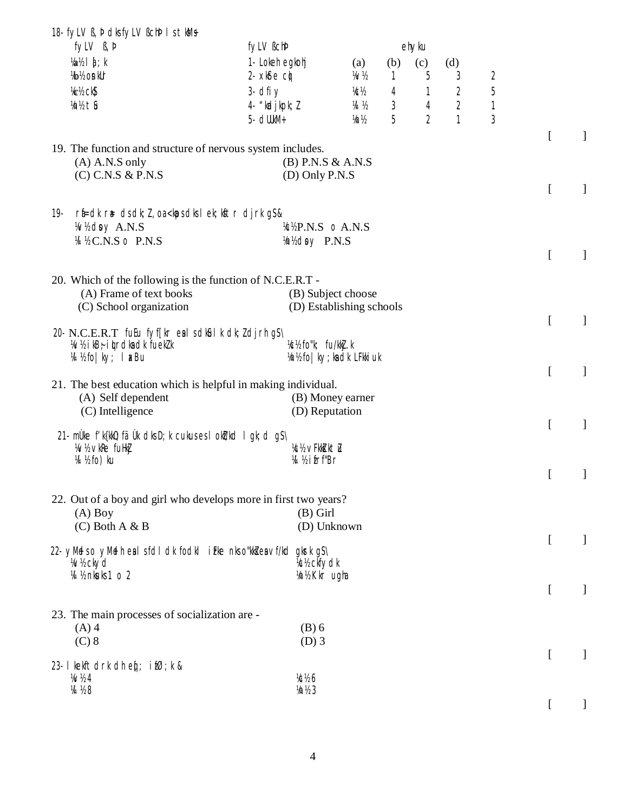| fyLV B, b                                                                                                                                                                                                                                                                                                           | fylV Bchb                                    |                          |     | ehyku          |                |                |                           |              |
|---------------------------------------------------------------------------------------------------------------------------------------------------------------------------------------------------------------------------------------------------------------------------------------------------------------------|----------------------------------------------|--------------------------|-----|----------------|----------------|----------------|---------------------------|--------------|
| $\frac{1}{2}$ $\frac{1}{2}$ $\frac{1}{2}$ $\frac{1}{2}$ $\frac{1}{2}$ $\frac{1}{2}$ $\frac{1}{2}$ $\frac{1}{2}$ $\frac{1}{2}$ $\frac{1}{2}$ $\frac{1}{2}$ $\frac{1}{2}$ $\frac{1}{2}$ $\frac{1}{2}$ $\frac{1}{2}$ $\frac{1}{2}$ $\frac{1}{2}$ $\frac{1}{2}$ $\frac{1}{2}$ $\frac{1}{2}$ $\frac{1}{2}$ $\frac{1}{2}$ | 1- Lokeh egkohj                              | (a)                      | (b) | (c)            | (d)            |                |                           |              |
| <b>V<sub>b</sub></b> V <sub>2</sub> on kUr                                                                                                                                                                                                                                                                          | 2. $x$ $\delta$ $\epsilon$ $\alpha$ $\delta$ | ₩½                       | 1   | 5              | 3              | $\overline{2}$ |                           |              |
| Kc <sup>y</sup> <sub>2</sub> ck <sub>2</sub>                                                                                                                                                                                                                                                                        | $3 - dfi y$                                  | KCV2                     | 4   | 1              | 2              | 5              |                           |              |
| M2 th                                                                                                                                                                                                                                                                                                               | 4- "kadjkpk; Z                               | 14 12                    | 3   | $\overline{4}$ | $\overline{2}$ | $\mathbf{1}$   |                           |              |
|                                                                                                                                                                                                                                                                                                                     | 5- dlllkM+                                   | Vn1/2                    | 5   | $\overline{2}$ | $\mathbf{1}$   | $\overline{3}$ |                           |              |
|                                                                                                                                                                                                                                                                                                                     |                                              |                          |     |                |                |                | $\overline{\mathfrak{l}}$ | $\mathbf{I}$ |
| 19. The function and structure of nervous system includes.<br>$(A)$ A.N.S only                                                                                                                                                                                                                                      | $(B)$ P.N.S & A.N.S                          |                          |     |                |                |                |                           |              |
| $(C)$ C.N.S & P.N.S                                                                                                                                                                                                                                                                                                 | $(D)$ Only P.N.S                             |                          |     |                |                |                |                           |              |
|                                                                                                                                                                                                                                                                                                                     |                                              |                          |     |                |                |                | $\mathbf{r}$              | ]            |
| $rfi = dk$ $r \neq ds dk; l$ , oa $<$ kps dks lek; kstr dj $rk$ g $s$ &<br>19-                                                                                                                                                                                                                                      |                                              |                          |     |                |                |                |                           |              |
| Wh day A.N.S                                                                                                                                                                                                                                                                                                        | KEP.N.S o A.N.S                              |                          |     |                |                |                |                           |              |
| M % C.N.S o P.N.S                                                                                                                                                                                                                                                                                                   | Mindsy P.N.S                                 |                          |     |                |                |                |                           |              |
|                                                                                                                                                                                                                                                                                                                     |                                              |                          |     |                |                |                | $\overline{[}$            | $\mathbf{I}$ |
|                                                                                                                                                                                                                                                                                                                     |                                              |                          |     |                |                |                |                           |              |
| 20. Which of the following is the function of N.C.E.R.T -<br>(A) Frame of text books                                                                                                                                                                                                                                |                                              | (B) Subject choose       |     |                |                |                |                           |              |
| (C) School organization                                                                                                                                                                                                                                                                                             |                                              | (D) Establishing schools |     |                |                |                |                           |              |
|                                                                                                                                                                                                                                                                                                                     |                                              |                          |     |                |                |                | $\overline{[}$            | $\mathbf{I}$ |
| 20 N.C.E.R.T futu fyf[kr eal sdkûl k dk; ldjrh gS\                                                                                                                                                                                                                                                                  |                                              |                          |     |                |                |                |                           |              |
| $W$ ikB $\dot{\tau}$ it traks at fueklik                                                                                                                                                                                                                                                                            | Vc½ fo"k; fu/kkj.k                           |                          |     |                |                |                |                           |              |
| M ½ fo   ky; I xBu                                                                                                                                                                                                                                                                                                  | Vn½ fo   ky; ka dk LFkki uk                  |                          |     |                |                |                | $\mathbf{r}$              | $\mathbf{I}$ |
| 21. The best education which is helpful in making individual.                                                                                                                                                                                                                                                       |                                              |                          |     |                |                |                |                           |              |
| (A) Self dependent                                                                                                                                                                                                                                                                                                  |                                              | (B) Money earner         |     |                |                |                |                           |              |
| (C) Intelligence                                                                                                                                                                                                                                                                                                    | (D) Reputation                               |                          |     |                |                |                |                           |              |
| 21- müke f'k{kk0; fäük dksD; k cukus es l okt/kd l gk; d gS\                                                                                                                                                                                                                                                        |                                              |                          |     |                |                |                | $\mathbf{r}$              | $\mathbf{I}$ |
| 14 VkRe fullki                                                                                                                                                                                                                                                                                                      | <b>%% vFkM ktl</b>                           |                          |     |                |                |                |                           |              |
| VI ½ fo) ku                                                                                                                                                                                                                                                                                                         | <b>W</b> ½ ifrf"Br                           |                          |     |                |                |                |                           |              |
|                                                                                                                                                                                                                                                                                                                     |                                              |                          |     |                |                |                | $\Gamma$                  | ]            |
| 22. Out of a boy and girl who develops more in first two years?                                                                                                                                                                                                                                                     |                                              |                          |     |                |                |                |                           |              |
| $(A)$ Boy                                                                                                                                                                                                                                                                                                           | $(B)$ Girl                                   |                          |     |                |                |                |                           |              |
| $(C)$ Both A & B                                                                                                                                                                                                                                                                                                    | (D) Unknown                                  |                          |     |                |                |                |                           |              |
| 22- yMedso yMedhealsfoll clk focklifke nkso"kka ea vf/kclgkrkgs\                                                                                                                                                                                                                                                    |                                              |                          |     |                |                |                | $\overline{[}$            | 1            |
| <b>Whckyd</b>                                                                                                                                                                                                                                                                                                       | <b>%% ckfydk</b>                             |                          |     |                |                |                |                           |              |
| V4 ½ nkuks 1 o 2                                                                                                                                                                                                                                                                                                    | 1/n1/2 Kkr ugha                              |                          |     |                |                |                |                           |              |
|                                                                                                                                                                                                                                                                                                                     |                                              |                          |     |                |                |                | [                         | 1            |
| 23. The main processes of socialization are -                                                                                                                                                                                                                                                                       |                                              |                          |     |                |                |                |                           |              |
| $(A)$ 4                                                                                                                                                                                                                                                                                                             | $(B)$ 6                                      |                          |     |                |                |                |                           |              |
| $(C)$ 8                                                                                                                                                                                                                                                                                                             | $(D)$ 3                                      |                          |     |                |                |                |                           |              |
|                                                                                                                                                                                                                                                                                                                     |                                              |                          |     |                |                |                | [                         |              |
| 23- I kekftdrk dh eq: ifØ; k &<br>1/2/24                                                                                                                                                                                                                                                                            | <b>%%6</b>                                   |                          |     |                |                |                |                           |              |
| <b>VA</b> 1/28                                                                                                                                                                                                                                                                                                      | 1/2                                          |                          |     |                |                |                |                           |              |
|                                                                                                                                                                                                                                                                                                                     |                                              |                          |     |                |                |                | $\left[ \right]$          |              |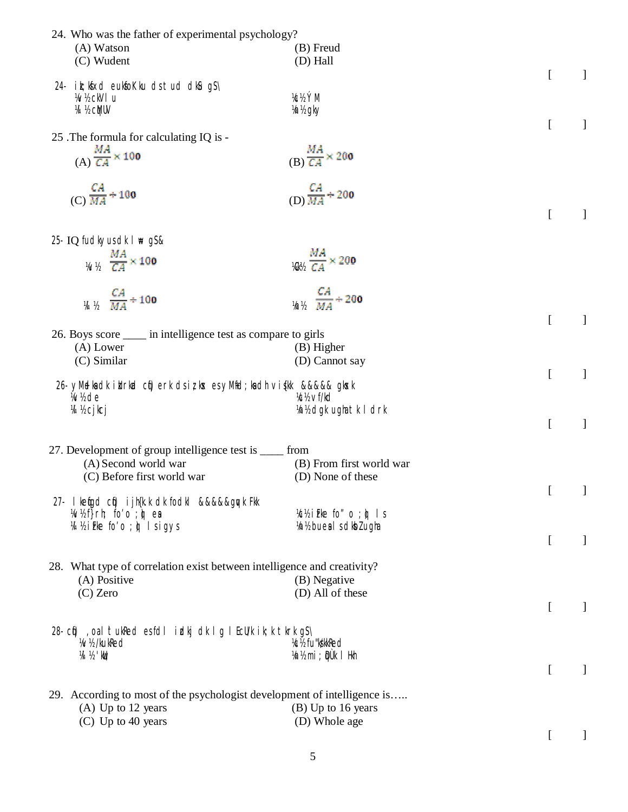| 24. Who was the father of experimental psychology?                       |                                              |                  |              |
|--------------------------------------------------------------------------|----------------------------------------------|------------------|--------------|
| (A) Watson                                                               | (B) Freud                                    |                  |              |
| (C) Wudent                                                               | (D) Hall                                     |                  |              |
|                                                                          |                                              | $\Gamma$         | $\mathbf{I}$ |
| 24- ik; Köxd eukfo Kku ds tud dkû g S                                    |                                              |                  |              |
| W <sub>1</sub> % ckVI u                                                  | KCY2 YM                                      |                  |              |
| <b>14 ½ cMUV</b>                                                         | <i>Y</i> n <sup>y</sup> <sub>g</sub> ky      |                  |              |
|                                                                          |                                              | $\Gamma$         | $\mathbf{I}$ |
| 25 .The formula for calculating IQ is -                                  |                                              |                  |              |
| (A) $\frac{MA}{CA} \times 100$                                           | $\frac{MA}{(B) C A} \times 200$              |                  |              |
|                                                                          |                                              |                  |              |
|                                                                          |                                              |                  |              |
| $(C)\frac{CA}{MA}$ ÷ 100                                                 | $\frac{CA}{MA}$ ÷ 200                        |                  |              |
|                                                                          |                                              | $\Gamma$         | 1            |
|                                                                          |                                              |                  |              |
| 25- IQ fudkyus dk I # g\$&                                               |                                              |                  |              |
|                                                                          |                                              |                  |              |
| $\frac{MA}{CA} \times 100$                                               | $V_1/V_2 \frac{1}{CA} \times 200$            |                  |              |
|                                                                          |                                              |                  |              |
|                                                                          |                                              |                  |              |
| $\frac{CA}{MA} \div 100$                                                 | $\gamma_0$ $\frac{CA}{MA}$ $\div$ 200        |                  |              |
|                                                                          |                                              | $\mathbf{r}$     |              |
| 26. Boys score ______ in intelligence test as compare to girls           |                                              |                  |              |
| (A) Lower                                                                | (B) Higher                                   |                  |              |
| (C) Similar                                                              | (D) Cannot say                               |                  |              |
|                                                                          |                                              | $\Gamma$         | $\mathbf{I}$ |
| 26. yMelladk i kirkud cíj) erk dsizkok esyMifd; ladh vi (kk &&&&& gkok k |                                              |                  |              |
| W <sub>b</sub> de                                                        | kt/ <sub>2</sub> vf/kd                       |                  |              |
| И ½ сј kcj                                                               | ¼n½ dgk ughatk I drk                         |                  |              |
|                                                                          |                                              | $\overline{[}$   | $\mathbf{I}$ |
|                                                                          |                                              |                  |              |
| 27. Development of group intelligence test is _____ from                 |                                              |                  |              |
| (A) Second world war                                                     | (B) From first world war                     |                  |              |
| (C) Before first world war                                               | (D) None of these                            |                  |              |
|                                                                          |                                              |                  |              |
| 27- I ketigd cti) i jh(k.k dk fodkl &&&&&gy-k Fkk                        |                                              |                  |              |
| W/2f}rh; fo'o ; p ea                                                     | $\frac{1}{2}$ if ke for o ; $\frac{1}{2}$ is |                  |              |
| M ½ i F ke fo'o ; yì I sigys                                             | Vn1/2 bueals dkblugha                        |                  |              |
|                                                                          |                                              | <sub>[</sub>     | 1            |
| 28. What type of correlation exist between intelligence and creativity?  |                                              |                  |              |
| (A) Positive                                                             | (B) Negative                                 |                  |              |
| $(C)$ Zero                                                               | (D) All of these                             |                  |              |
|                                                                          |                                              | $\left[ \right]$ | $\perp$      |
|                                                                          |                                              |                  |              |
| 28 cf), oal tukked esfdl idkj dk Ig I EcU/k ik; k tkrk gS\               |                                              |                  |              |
| <b>W/2/kukRed</b>                                                        | <b>VcV<sub>2</sub></b> fu"kkkRed             |                  |              |
| 图 ½ '鼬;                                                                  | 1/n1/2 mi; Qùk I Hkh                         |                  |              |
|                                                                          |                                              | $\left[ \right]$ | 1            |
|                                                                          |                                              |                  |              |
| 29. According to most of the psychologist development of intelligence is |                                              |                  |              |
| $(A)$ Up to 12 years                                                     | (B) Up to 16 years                           |                  |              |
| $(C)$ Up to 40 years                                                     | (D) Whole age                                |                  |              |
|                                                                          |                                              |                  |              |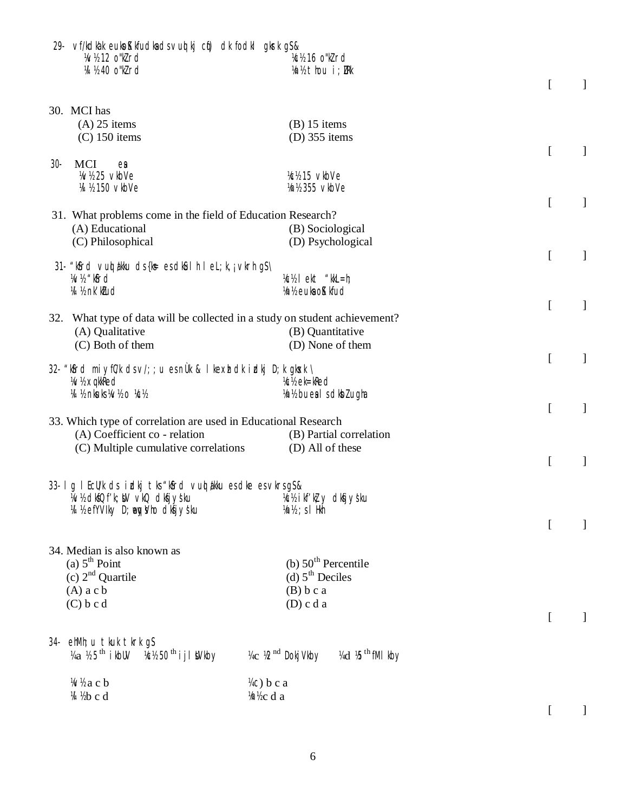|        | 29- vf/kdkak eukoKkfudkadsvuot kj cot) dk fodkl gkrk g\$&<br>W <sub>12</sub> o'Wrd<br>W ½40 o"klrd       | % 16 o"kird<br>Vn1/2 thou i; URk                                                                                                                                                                                                                                                                                      |                  |              |
|--------|----------------------------------------------------------------------------------------------------------|-----------------------------------------------------------------------------------------------------------------------------------------------------------------------------------------------------------------------------------------------------------------------------------------------------------------------|------------------|--------------|
|        |                                                                                                          |                                                                                                                                                                                                                                                                                                                       | <sub>[</sub>     | $\mathbf{I}$ |
|        | 30. MCI has                                                                                              |                                                                                                                                                                                                                                                                                                                       |                  |              |
|        | $(A)$ 25 items                                                                                           | $(B)$ 15 items                                                                                                                                                                                                                                                                                                        |                  |              |
|        | $(C)$ 150 items                                                                                          | $(D)$ 355 items                                                                                                                                                                                                                                                                                                       |                  |              |
| $30 -$ | <b>MCI</b><br>$e\mathbf{a}$                                                                              |                                                                                                                                                                                                                                                                                                                       | $\Gamma$         | 1            |
|        | <b>W/25 vkbVe</b>                                                                                        | Kcl/ <sub>2</sub> 15 vkbVe                                                                                                                                                                                                                                                                                            |                  |              |
|        | W 1/2 150 vkbVe                                                                                          | 1/n1/2 355 vkbVe                                                                                                                                                                                                                                                                                                      |                  |              |
|        |                                                                                                          |                                                                                                                                                                                                                                                                                                                       | $\overline{[}$   | 1            |
|        | 31. What problems come in the field of Education Research?                                               |                                                                                                                                                                                                                                                                                                                       |                  |              |
|        | (A) Educational                                                                                          | (B) Sociological                                                                                                                                                                                                                                                                                                      |                  |              |
|        | (C) Philosophical                                                                                        | (D) Psychological                                                                                                                                                                                                                                                                                                     |                  |              |
|        | 31- "kSird vuot akku ds {k = es dk Sul h l e L; k, ; vkrh g S \                                          |                                                                                                                                                                                                                                                                                                                       | [                | $\mathbf{I}$ |
|        | W <sub>2</sub> "kfrd                                                                                     | $\frac{1}{2}$ / $\frac{1}{2}$ ekt "kkL=h;                                                                                                                                                                                                                                                                             |                  |              |
|        | 14 1/2 nk' ktud                                                                                          | 1/n <sub>1/2</sub> euka o <b>K</b> kfud                                                                                                                                                                                                                                                                               |                  |              |
|        |                                                                                                          |                                                                                                                                                                                                                                                                                                                       | [                | $\mathbf{I}$ |
|        | 32. What type of data will be collected in a study on student achievement?                               |                                                                                                                                                                                                                                                                                                                       |                  |              |
|        | (A) Qualitative                                                                                          | (B) Quantitative                                                                                                                                                                                                                                                                                                      |                  |              |
|        | (C) Both of them                                                                                         | (D) None of them                                                                                                                                                                                                                                                                                                      |                  |              |
|        | 32. "Kosrd miyf $C/k$ dsv/;; u esnÜk & I kexhidkirdkj D; k gkosk \                                       |                                                                                                                                                                                                                                                                                                                       | $\mathbf{r}$     | $\mathbf{I}$ |
|        | W/2 xqkkRed                                                                                              | <b>Xcl/<sub>c</sub></b> ek=kRed                                                                                                                                                                                                                                                                                       |                  |              |
|        | VI 1/2 nkuks1/a/2 o 1/c1/2                                                                               | Vn1/2 buealsdkblugha                                                                                                                                                                                                                                                                                                  |                  |              |
|        |                                                                                                          |                                                                                                                                                                                                                                                                                                                       | $\Gamma$         | 1            |
|        | 33. Which type of correlation are used in Educational Research                                           |                                                                                                                                                                                                                                                                                                                       |                  |              |
|        | (A) Coefficient co - relation                                                                            | (B) Partial correlation                                                                                                                                                                                                                                                                                               |                  |              |
|        | (C) Multiple cumulative correlations                                                                     | (D) All of these                                                                                                                                                                                                                                                                                                      |                  |              |
|        |                                                                                                          |                                                                                                                                                                                                                                                                                                                       | [                | $\mathbf{I}$ |
|        | 33- I g I EcWk ds idkj tks "kfird vuol akku es dke es vkrs g S &                                         |                                                                                                                                                                                                                                                                                                                       |                  |              |
|        | », «Wind Mary γανιάς της Μάλας Μάλινης Μάλλος Μάλινης Μάλινης Μάλινης Μάλινης Μάλινης Μάλινης Μάλινης Μά |                                                                                                                                                                                                                                                                                                                       |                  |              |
|        | 14 1/2 efYVIky D; weay's/ho dkfjysku                                                                     | $1/2$ $\frac{1}{2}$ $\frac{1}{2}$ $\frac{1}{2}$ $\frac{1}{2}$ $\frac{1}{2}$ $\frac{1}{2}$ $\frac{1}{2}$ $\frac{1}{2}$ $\frac{1}{2}$ $\frac{1}{2}$ $\frac{1}{2}$ $\frac{1}{2}$ $\frac{1}{2}$ $\frac{1}{2}$ $\frac{1}{2}$ $\frac{1}{2}$ $\frac{1}{2}$ $\frac{1}{2}$ $\frac{1}{2}$ $\frac{1}{2}$ $\frac{1}{2}$ $\frac{1$ |                  |              |
|        |                                                                                                          |                                                                                                                                                                                                                                                                                                                       | $\left[ \right]$ |              |
|        |                                                                                                          |                                                                                                                                                                                                                                                                                                                       |                  |              |
|        | 34. Median is also known as                                                                              |                                                                                                                                                                                                                                                                                                                       |                  |              |
|        | (a) $5^{\text{th}}$ Point                                                                                | (b) $50th$ Percentile                                                                                                                                                                                                                                                                                                 |                  |              |
|        | (c) $2nd$ Quartile                                                                                       | (d) $5th$ Deciles                                                                                                                                                                                                                                                                                                     |                  |              |
|        | $(A)$ a c b                                                                                              | (B) b c a                                                                                                                                                                                                                                                                                                             |                  |              |
|        | (C) b c d                                                                                                | $(D)$ c d a                                                                                                                                                                                                                                                                                                           |                  |              |
|        |                                                                                                          |                                                                                                                                                                                                                                                                                                                       | $\mathsf{L}$     |              |
| 34-    | ehMh; u tkuk tkrk g\$                                                                                    |                                                                                                                                                                                                                                                                                                                       |                  |              |
|        | $\%a$ % 5 <sup>th</sup> ikbl $\%b$ 50 <sup>th</sup> i j i Wkby                                           | 14c 12 <sup>nd</sup> Dokj Vkby<br>¼d <sup>b th</sup> fMI kby                                                                                                                                                                                                                                                          |                  |              |
|        |                                                                                                          |                                                                                                                                                                                                                                                                                                                       |                  |              |
|        | Whacb<br>M ½b c d                                                                                        | ¼с) b c a<br>m/c d a                                                                                                                                                                                                                                                                                                  |                  |              |
|        |                                                                                                          |                                                                                                                                                                                                                                                                                                                       |                  |              |
|        |                                                                                                          |                                                                                                                                                                                                                                                                                                                       |                  |              |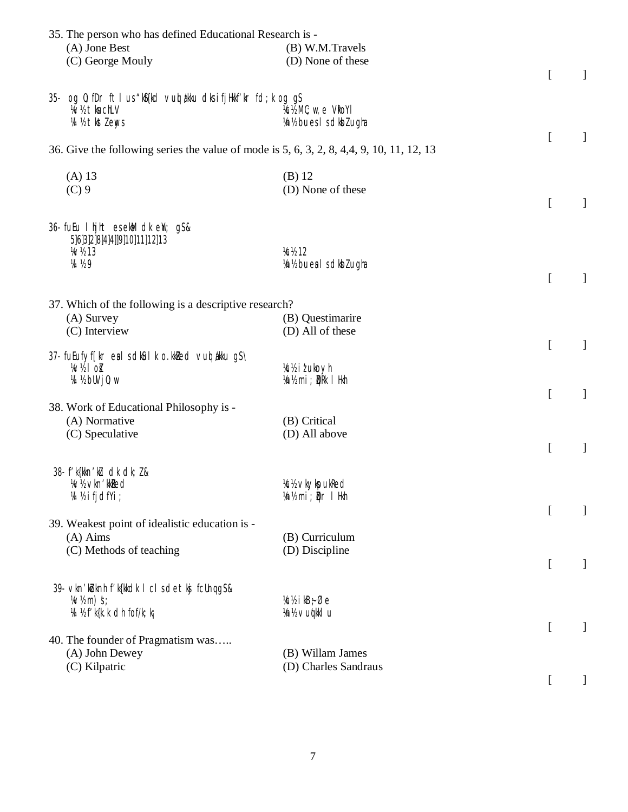| 35. The person who has defined Educational Research is -                                  |                                                  |          |              |
|-------------------------------------------------------------------------------------------|--------------------------------------------------|----------|--------------|
| (A) Jone Best                                                                             | (B) W.M.Travels                                  |          |              |
| (C) George Mouly                                                                          | (D) None of these                                |          |              |
|                                                                                           |                                                  | [        | $\mathbf{I}$ |
| 35 og 0; fDr ftlus "kn\${kd vuot akku dksifjHkkf'kr fd; k og g\$                          |                                                  |          |              |
| W/2 tkuchLV                                                                               | $\frac{1}{2}$ MC; $\mathbf{w}$ , e Vkoyi         |          |              |
| 14 1/2 tkst lenys                                                                         | Vn1/2 bues I s dkbl ugha                         |          |              |
|                                                                                           |                                                  | [        | $\mathbf{I}$ |
| 36. Give the following series the value of mode is 5, 6, 3, 2, 8, 4, 4, 9, 10, 11, 12, 13 |                                                  |          |              |
| $(A)$ 13                                                                                  | $(B)$ 12                                         |          |              |
| $(C)$ 9                                                                                   | (D) None of these                                |          |              |
|                                                                                           |                                                  | [        | $\mathbf{I}$ |
|                                                                                           |                                                  |          |              |
| 36- fuEu I hjht esekM dk eW; gS&                                                          |                                                  |          |              |
| 5]6]3]2]8]4]4]]9]10]11]12]13                                                              |                                                  |          |              |
| <b>W<sub>13</sub></b><br><b>VA</b> 1/2 9                                                  | <b>V<sub>C</sub></b> 12<br>Vn1/2 bueals dkblugha |          |              |
|                                                                                           |                                                  | [        | $\mathbf{I}$ |
|                                                                                           |                                                  |          |              |
| 37. Which of the following is a descriptive research?                                     |                                                  |          |              |
| (A) Survey                                                                                | (B) Questimarire                                 |          |              |
| (C) Interview                                                                             | (D) All of these                                 |          |              |
|                                                                                           |                                                  | [        | $\mathbf{I}$ |
| 37- fuEufyf[kr eal schlâul k o.kkled vuot akku gS\<br>$W_2$ of                            | Vc1/2 it uko yh                                  |          |              |
| 14 ½ bUV j0; w                                                                            | Vorls mi; DRk I Hkh                              |          |              |
|                                                                                           |                                                  | $\Gamma$ | $\mathbf{I}$ |
| 38. Work of Educational Philosophy is -                                                   |                                                  |          |              |
| (A) Normative                                                                             | (B) Critical                                     |          |              |
| (C) Speculative                                                                           | (D) All above                                    |          |              |
|                                                                                           |                                                  | $\Gamma$ | 1            |
| 38- f'k{kkn'ku dk dk; 1&                                                                  |                                                  |          |              |
| Wh vkn'kked                                                                               | <b>Xcl/<sub>2</sub></b> vkykpukRed               |          |              |
| W ½ i fjdfYi ;                                                                            | Vn½ mi; Dr I Hkh                                 |          |              |
|                                                                                           |                                                  | L        | 1            |
| 39. Weakest point of idealistic education is -                                            |                                                  |          |              |
| $(A)$ Aims                                                                                | (B) Curriculum                                   |          |              |
| (C) Methods of teaching                                                                   | (D) Discipline                                   |          |              |
|                                                                                           |                                                  | [        | 1            |
| 39- vkn'koknh f'k{kkdk I cl sdetkj fcUnqgS&                                               |                                                  |          |              |
| $\frac{1}{2}$ M/2 m $\frac{1}{2}$ s;                                                      | $\frac{1}{2}$ kB <sub>7</sub> $\emptyset$ e      |          |              |
| 14 1/2 f'k{k.k dh fof/k; kj                                                               | ¼n½ ∨uqkklu                                      |          |              |
|                                                                                           |                                                  | L        |              |
| 40. The founder of Pragmatism was                                                         |                                                  |          |              |
| (A) John Dewey                                                                            | (B) Willam James                                 |          |              |
| (C) Kilpatric                                                                             | (D) Charles Sandraus                             |          |              |
|                                                                                           |                                                  |          |              |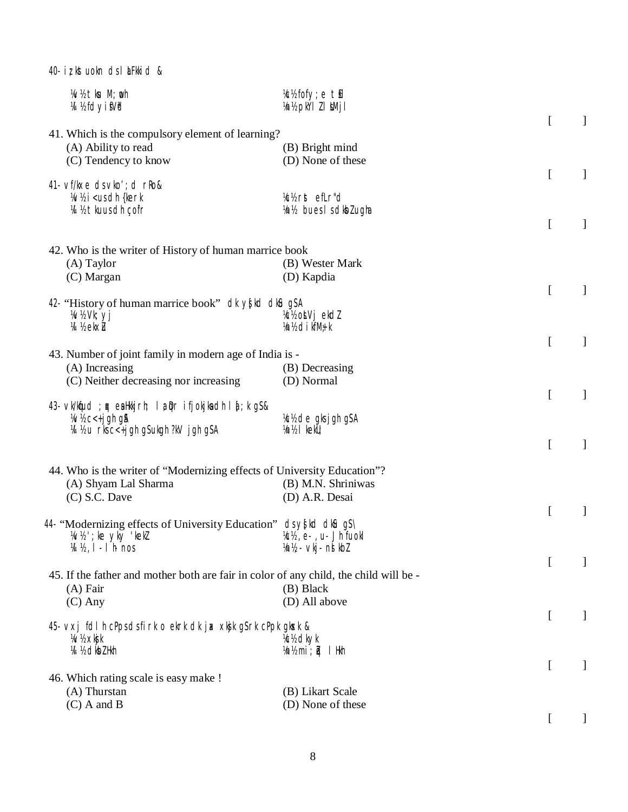40- iz kstuokn ds I LiFkkid &

| W/2 tku M; oh<br><b>M</b> <i>h</i> fdyi Wd                                                                                   | k fofy; etil<br>¼n½ pkÝl Z I MMjI                                                            |                  |              |
|------------------------------------------------------------------------------------------------------------------------------|----------------------------------------------------------------------------------------------|------------------|--------------|
| 41. Which is the compulsory element of learning?                                                                             |                                                                                              | $\left[ \right]$ | 1            |
| (A) Ability to read                                                                                                          | (B) Bright mind                                                                              |                  |              |
| (C) Tendency to know                                                                                                         | (D) None of these                                                                            |                  |              |
|                                                                                                                              |                                                                                              | $\overline{[}$   | ]            |
| 41- vf/kxe ds vko'; d rko&<br>Whi <us dh="" td="" {kerk<=""><td>kk rst efLr"d</td><td></td><td></td></us>                    | kk rst efLr"d                                                                                |                  |              |
| M 1/2 tkuus dh çofr                                                                                                          | Vn1/2 bues I s dkbl ugha                                                                     |                  |              |
|                                                                                                                              |                                                                                              | $\overline{a}$   | ]            |
|                                                                                                                              |                                                                                              |                  |              |
| 42. Who is the writer of History of human marrice book<br>$(A)$ Taylor                                                       | (B) Wester Mark                                                                              |                  |              |
| (C) Margan                                                                                                                   | (D) Kapdia                                                                                   |                  |              |
|                                                                                                                              |                                                                                              | $\overline{[}$   | ]            |
| 42. "History of human marrice book" dk y{kd dku g\$A                                                                         |                                                                                              |                  |              |
| Wh Vk; yj                                                                                                                    | Kch ot Vj ekdl                                                                               |                  |              |
| <b>14 ½ ekx1u</b>                                                                                                            | Vn½ di kfM+ k                                                                                | $\overline{[}$   |              |
| 43. Number of joint family in modern age of India is -                                                                       |                                                                                              |                  | 1            |
| (A) Increasing                                                                                                               | (B) Decreasing                                                                               |                  |              |
| (C) Neither decreasing nor increasing                                                                                        | (D) Normal                                                                                   |                  |              |
|                                                                                                                              |                                                                                              | $\overline{a}$   | $\mathbf{I}$ |
| 43. $\vee$ k/knfud; og eallkkjrh; la prifjokjka dh l $\xi$ ; k g $\delta$ &<br>$\frac{1}{2}$ W $\frac{1}{2}$ C < + j g h g & | ¼c½ de gksjghg\$A                                                                            |                  |              |
| 14 1/2 u rks c < + j gh g S ukgh ?kV j gh g S A                                                                              | Vn1/2   kekU;                                                                                |                  |              |
|                                                                                                                              |                                                                                              | [                | ]            |
|                                                                                                                              |                                                                                              |                  |              |
| 44. Who is the writer of "Modernizing effects of University Education"?<br>(A) Shyam Lal Sharma                              | (B) M.N. Shriniwas                                                                           |                  |              |
| $(C)$ S.C. Dave                                                                                                              | (D) A.R. Desai                                                                               |                  |              |
|                                                                                                                              |                                                                                              | <sub>[</sub>     | -1           |
| 44. "Modernizing effects of University Education" ds y{kd dku g \$\                                                          |                                                                                              |                  |              |
| $W$ 'z'; ke yky 'kekl<br>$M\$ /2, $I$ - $I$ $h$ nos                                                                          | Kc <sub>12</sub> , e-, u- Jh fuokl<br>$1/n!/2$ $\cdot$ $\vee$ kj $\cdot$ $\wedge$ $\vee$ kbl |                  |              |
|                                                                                                                              |                                                                                              | <sub>[</sub>     |              |
| 45. If the father and mother both are fair in color of any child, the child will be -                                        |                                                                                              |                  |              |
| $(A)$ Fair                                                                                                                   | (B) Black                                                                                    |                  |              |
| $(C)$ Any                                                                                                                    | (D) All above                                                                                |                  |              |
| 45 vxj fdlh cPpsdsfirk o ekrk dk jax xkjk g\$rk cPpk gkusk &                                                                 |                                                                                              | <sub>[</sub>     |              |
| ¼v½ xkjk                                                                                                                     | k: dkyk                                                                                      |                  |              |
| 14 1/2 clkb <sub>Z</sub> Hkh                                                                                                 | ¼n½ mi; ≹ai lHkh                                                                             |                  |              |
|                                                                                                                              |                                                                                              | $\left[ \right]$ |              |
| 46. Which rating scale is easy make !                                                                                        |                                                                                              |                  |              |
| (A) Thurstan<br>$(C)$ A and B                                                                                                | (B) Likart Scale<br>(D) None of these                                                        |                  |              |
|                                                                                                                              |                                                                                              |                  |              |
|                                                                                                                              |                                                                                              |                  |              |